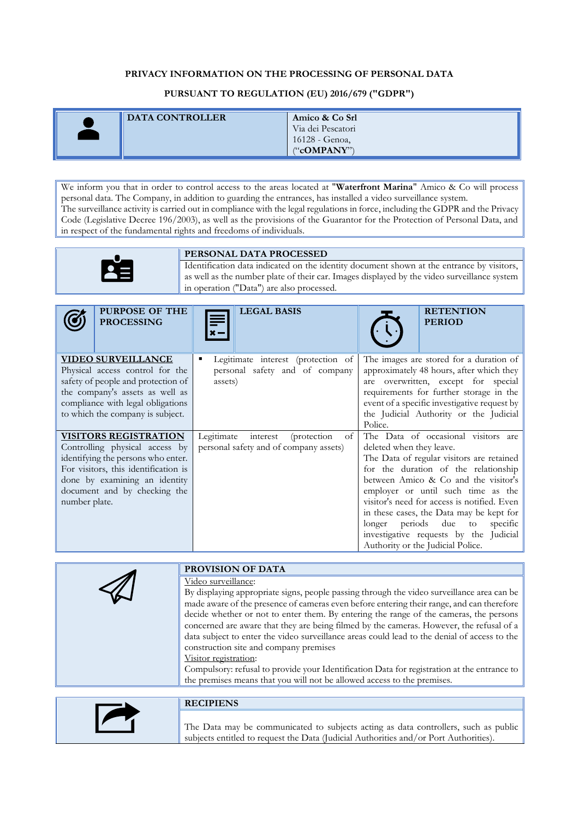## **PRIVACY INFORMATION ON THE PROCESSING OF PERSONAL DATA**

## **PURSUANT TO REGULATION (EU) 2016/679 ("GDPR")**

| <b>DATA CONTROLLER</b> | Amico & Co Srl    |
|------------------------|-------------------|
|                        | Via dei Pescatori |
|                        | 16128 - Genoa,    |
|                        | $($ "cOMPANY")    |

We inform you that in order to control access to the areas located at "**Waterfront Marina**" Amico & Co will process personal data. The Company, in addition to guarding the entrances, has installed a video surveillance system. The surveillance activity is carried out in compliance with the legal regulations in force, including the GDPR and the Privacy Code (Legislative Decree 196/2003), as well as the provisions of the Guarantor for the Protection of Personal Data, and in respect of the fundamental rights and freedoms of individuals.



## **PERSONAL DATA PROCESSED**

Identification data indicated on the identity document shown at the entrance by visitors, as well as the number plate of their car. Images displayed by the video surveillance system in operation ("Data") are also processed.

|                                                                       | <b>PURPOSE OF THE</b><br><b>PROCESSING</b> | <b>LEGAL BASIS</b>                           | <b>RETENTION</b><br><b>PERIOD</b>                                               |
|-----------------------------------------------------------------------|--------------------------------------------|----------------------------------------------|---------------------------------------------------------------------------------|
|                                                                       | <b>VIDEO SURVEILLANCE</b>                  | Legitimate interest (protection of           | The images are stored for a duration of                                         |
| Physical access control for the<br>safety of people and protection of |                                            | personal safety and of company<br>assets)    | approximately 48 hours, after which they<br>are overwritten, except for special |
| the company's assets as well as                                       |                                            |                                              | requirements for further storage in the                                         |
| compliance with legal obligations                                     |                                            |                                              | event of a specific investigative request by                                    |
|                                                                       | to which the company is subject.           |                                              | the Judicial Authority or the Judicial<br>Police.                               |
|                                                                       | <b>VISITORS REGISTRATION</b>               | Legitimate<br>interest<br>(protection)<br>of | The Data of occasional visitors are                                             |
| Controlling physical access by                                        |                                            | personal safety and of company assets)       | deleted when they leave.                                                        |
| identifying the persons who enter.                                    |                                            |                                              | The Data of regular visitors are retained                                       |
| For visitors, this identification is                                  |                                            |                                              | for the duration of the relationship                                            |
| done by examining an identity                                         |                                            |                                              | between Amico & Co and the visitor's                                            |
| document and by checking the                                          |                                            |                                              | employer or until such time as the                                              |
| number plate.                                                         |                                            |                                              | visitor's need for access is notified. Even                                     |
|                                                                       |                                            |                                              | in these cases, the Data may be kept for                                        |
|                                                                       |                                            |                                              | longer periods due<br>specific<br>to                                            |
|                                                                       |                                            |                                              | investigative requests by the Judicial                                          |
|                                                                       |                                            |                                              | Authority or the Judicial Police.                                               |

| PROVISION OF DATA                                                                                                                                                                                                                                                                                                                                                                                                                                                                                    |
|------------------------------------------------------------------------------------------------------------------------------------------------------------------------------------------------------------------------------------------------------------------------------------------------------------------------------------------------------------------------------------------------------------------------------------------------------------------------------------------------------|
| Video surveillance:<br>By displaying appropriate signs, people passing through the video surveillance area can be<br>made aware of the presence of cameras even before entering their range, and can therefore<br>decide whether or not to enter them. By entering the range of the cameras, the persons<br>concerned are aware that they are being filmed by the cameras. However, the refusal of a<br>data subject to enter the video surveillance areas could lead to the denial of access to the |
| construction site and company premises<br>Visitor registration:<br>Compulsory: refusal to provide your Identification Data for registration at the entrance to<br>the premises means that you will not be allowed access to the premises.                                                                                                                                                                                                                                                            |



## **RECIPIENS**

The Data may be communicated to subjects acting as data controllers, such as public subjects entitled to request the Data (Judicial Authorities and/or Port Authorities).